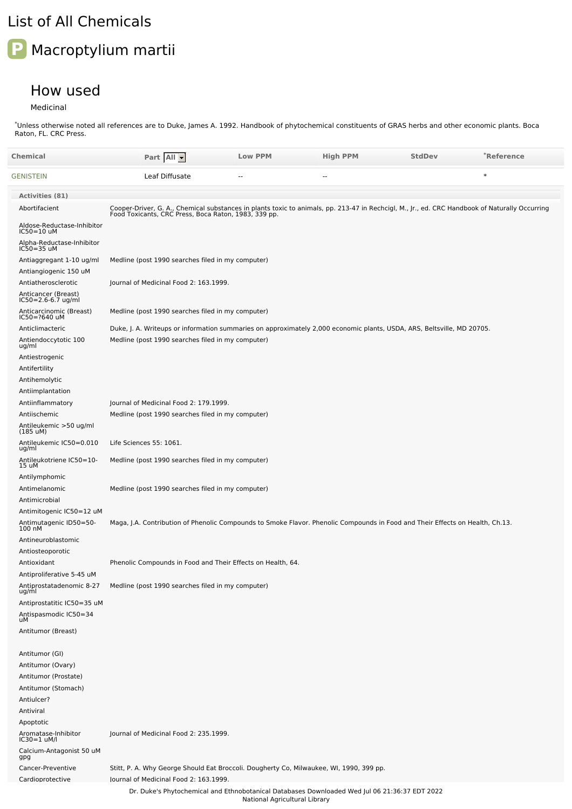## List of All Chemicals

## **P** Macroptylium martii

## How used

Medicinal

Unless otherwise noted all references are to Duke, James A. 1992. Handbook of phytochemical constituents of GRAS herbs and other economic plants. Boca Raton, FL. CRC Press. \*

| Chemical                                                       | Part All                                                                                                                                                                                               | <b>Low PPM</b>                | <b>High PPM</b>                                                                               | <b>StdDev</b> | *Reference |
|----------------------------------------------------------------|--------------------------------------------------------------------------------------------------------------------------------------------------------------------------------------------------------|-------------------------------|-----------------------------------------------------------------------------------------------|---------------|------------|
| GENISTEIN                                                      | Leaf Diffusate                                                                                                                                                                                         | $\overline{a}$                | $\overline{a}$                                                                                |               | $\ast$     |
| Activities (81)                                                |                                                                                                                                                                                                        |                               |                                                                                               |               |            |
| Abortifacient                                                  | Cooper-Driver, G. A., Chemical substances in plants toxic to animals, pp. 213-47 in Rechcigl, M., Jr., ed. CRC Handbook of Naturally Occurring<br>Food Toxicants, CRC Press, Boca Raton, 1983, 339 pp. |                               |                                                                                               |               |            |
| Aldose-Reductase-Inhibitor<br>IC50=10 uM                       |                                                                                                                                                                                                        |                               |                                                                                               |               |            |
| Alpha-Reductase-Inhibitor<br>IC50=35 uM                        |                                                                                                                                                                                                        |                               |                                                                                               |               |            |
| Antiaggregant 1-10 ug/ml                                       | Medline (post 1990 searches filed in my computer)                                                                                                                                                      |                               |                                                                                               |               |            |
| Antiangiogenic 150 uM                                          |                                                                                                                                                                                                        |                               |                                                                                               |               |            |
| Antiatherosclerotic                                            | Journal of Medicinal Food 2: 163.1999.                                                                                                                                                                 |                               |                                                                                               |               |            |
| Anticancer (Breast)<br>IC50=2.6-6.7 ug/ml                      |                                                                                                                                                                                                        |                               |                                                                                               |               |            |
| Anticarcinomic (Breast)<br>IC50=?640 uM                        | Medline (post 1990 searches filed in my computer)                                                                                                                                                      |                               |                                                                                               |               |            |
| Anticlimacteric                                                | Duke, J. A. Writeups or information summaries on approximately 2,000 economic plants, USDA, ARS, Beltsville, MD 20705.                                                                                 |                               |                                                                                               |               |            |
| Antiendoccytotic 100<br>ug/ml                                  | Medline (post 1990 searches filed in my computer)                                                                                                                                                      |                               |                                                                                               |               |            |
| Antiestrogenic                                                 |                                                                                                                                                                                                        |                               |                                                                                               |               |            |
| Antifertility                                                  |                                                                                                                                                                                                        |                               |                                                                                               |               |            |
| Antihemolytic                                                  |                                                                                                                                                                                                        |                               |                                                                                               |               |            |
| Antiimplantation<br>Antiinflammatory                           | Journal of Medicinal Food 2: 179.1999.                                                                                                                                                                 |                               |                                                                                               |               |            |
| Antiischemic                                                   | Medline (post 1990 searches filed in my computer)                                                                                                                                                      |                               |                                                                                               |               |            |
| Antileukemic >50 ug/ml<br>(185 uM)                             |                                                                                                                                                                                                        |                               |                                                                                               |               |            |
| Antileukemic IC50=0.010<br>ug/ml                               | Life Sciences 55: 1061.                                                                                                                                                                                |                               |                                                                                               |               |            |
| Antileukotriene IC50=10-<br>15 uM                              | Medline (post 1990 searches filed in my computer)                                                                                                                                                      |                               |                                                                                               |               |            |
| Antilymphomic                                                  |                                                                                                                                                                                                        |                               |                                                                                               |               |            |
| Antimelanomic                                                  | Medline (post 1990 searches filed in my computer)                                                                                                                                                      |                               |                                                                                               |               |            |
| Antimicrobial<br>Antimitogenic IC50=12 uM                      |                                                                                                                                                                                                        |                               |                                                                                               |               |            |
| Antimutagenic ID50=50-<br>100 nM                               | Maga, J.A. Contribution of Phenolic Compounds to Smoke Flavor. Phenolic Compounds in Food and Their Effects on Health, Ch.13.                                                                          |                               |                                                                                               |               |            |
| Antineuroblastomic                                             |                                                                                                                                                                                                        |                               |                                                                                               |               |            |
| Antiosteoporotic                                               |                                                                                                                                                                                                        |                               |                                                                                               |               |            |
| Antioxidant                                                    | Phenolic Compounds in Food and Their Effects on Health, 64.                                                                                                                                            |                               |                                                                                               |               |            |
| Antiproliferative 5-45 uM<br>Antiprostatadenomic 8-27<br>ug/ml | Medline (post 1990 searches filed in my computer)                                                                                                                                                      |                               |                                                                                               |               |            |
| Antiprostatitic IC50=35 uM                                     |                                                                                                                                                                                                        |                               |                                                                                               |               |            |
| Antispasmodic IC50=34<br>uM                                    |                                                                                                                                                                                                        |                               |                                                                                               |               |            |
| Antitumor (Breast)                                             |                                                                                                                                                                                                        |                               |                                                                                               |               |            |
| Antitumor (GI)                                                 |                                                                                                                                                                                                        |                               |                                                                                               |               |            |
| Antitumor (Ovary)                                              |                                                                                                                                                                                                        |                               |                                                                                               |               |            |
| Antitumor (Prostate)                                           |                                                                                                                                                                                                        |                               |                                                                                               |               |            |
| Antitumor (Stomach)                                            |                                                                                                                                                                                                        |                               |                                                                                               |               |            |
| Antiulcer?<br>Antiviral                                        |                                                                                                                                                                                                        |                               |                                                                                               |               |            |
| Apoptotic                                                      |                                                                                                                                                                                                        |                               |                                                                                               |               |            |
| Aromatase-Inhibitor<br>IC30=1 uM/l                             | Journal of Medicinal Food 2: 235.1999.                                                                                                                                                                 |                               |                                                                                               |               |            |
| Calcium-Antagonist 50 uM<br>gpg                                |                                                                                                                                                                                                        |                               |                                                                                               |               |            |
| Cancer-Preventive                                              | Stitt, P. A. Why George Should Eat Broccoli. Dougherty Co, Milwaukee, WI, 1990, 399 pp.                                                                                                                |                               |                                                                                               |               |            |
| Cardioprotective                                               | lournal of Medicinal Food 2: 163.1999.                                                                                                                                                                 |                               | Dr. Duke's Phytochemical and Ethnobotanical Databases Downloaded Wed Jul 06 21:36:37 EDT 2022 |               |            |
|                                                                |                                                                                                                                                                                                        | National Agricultural Library |                                                                                               |               |            |